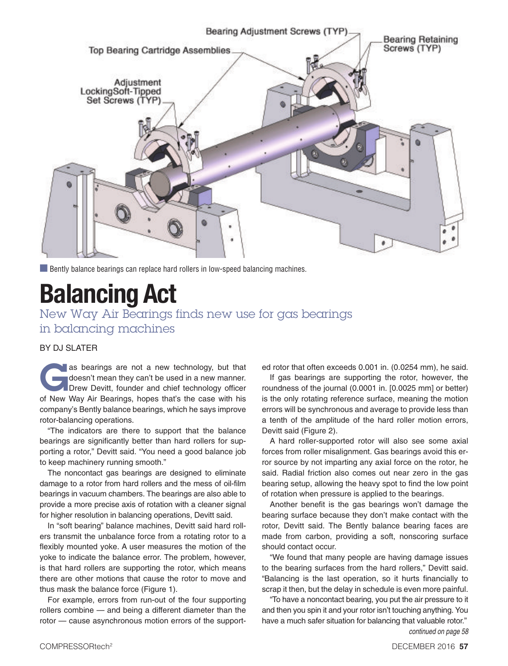

**n** Bently balance bearings can replace hard rollers in low-speed balancing machines.

## **Balancing Act**

New Way Air Bearings finds new use for gas bearings in balancing machines

## BY DJ SLATER

as bearings are not a new technology, but that<br>doesn't mean they can't be used in a new manner.<br>Drew Devitt, founder and chief technology officer<br>of Now Way Air Bearings, bence that's the sase with his doesn't mean they can't be used in a new manner. **Drew Devitt, founder and chief technology officer** of New Way Air Bearings, hopes that's the case with his company's Bently balance bearings, which he says improve rotor-balancing operations.

"The indicators are there to support that the balance bearings are significantly better than hard rollers for supporting a rotor," Devitt said. "You need a good balance job to keep machinery running smooth."

The noncontact gas bearings are designed to eliminate damage to a rotor from hard rollers and the mess of oil-film bearings in vacuum chambers. The bearings are also able to provide a more precise axis of rotation with a cleaner signal for higher resolution in balancing operations, Devitt said.

In "soft bearing" balance machines, Devitt said hard rollers transmit the unbalance force from a rotating rotor to a flexibly mounted yoke. A user measures the motion of the yoke to indicate the balance error. The problem, however, is that hard rollers are supporting the rotor, which means there are other motions that cause the rotor to move and thus mask the balance force (Figure 1).

For example, errors from run-out of the four supporting rollers combine — and being a different diameter than the rotor — cause asynchronous motion errors of the supported rotor that often exceeds 0.001 in. (0.0254 mm), he said.

If gas bearings are supporting the rotor, however, the roundness of the journal (0.0001 in. [0.0025 mm] or better) is the only rotating reference surface, meaning the motion errors will be synchronous and average to provide less than a tenth of the amplitude of the hard roller motion errors, Devitt said (Figure 2).

A hard roller-supported rotor will also see some axial forces from roller misalignment. Gas bearings avoid this error source by not imparting any axial force on the rotor, he said. Radial friction also comes out near zero in the gas bearing setup, allowing the heavy spot to find the low point of rotation when pressure is applied to the bearings.

Another benefit is the gas bearings won't damage the bearing surface because they don't make contact with the rotor, Devitt said. The Bently balance bearing faces are made from carbon, providing a soft, nonscoring surface should contact occur.

"We found that many people are having damage issues to the bearing surfaces from the hard rollers," Devitt said. "Balancing is the last operation, so it hurts financially to scrap it then, but the delay in schedule is even more painful.

"To have a noncontact bearing, you put the air pressure to it and then you spin it and your rotor isn't touching anything. You have a much safer situation for balancing that valuable rotor." continued on page 58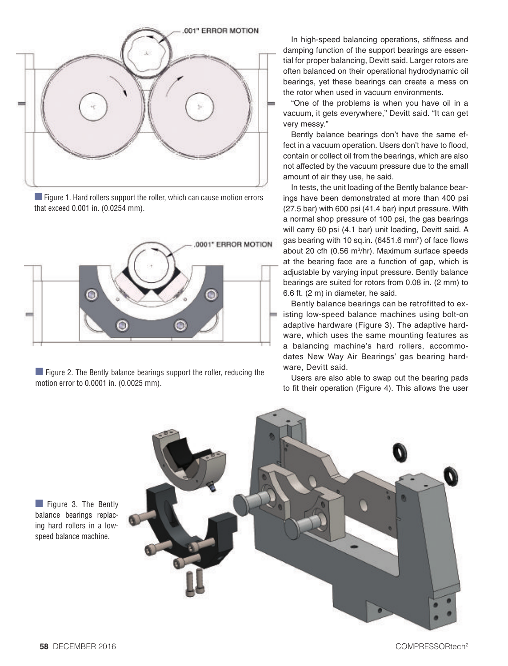

■ Figure 1. Hard rollers support the roller, which can cause motion errors that exceed 0.001 in. (0.0254 mm).



 $\blacksquare$  Figure 2. The Bently balance bearings support the roller, reducing the motion error to 0.0001 in. (0.0025 mm).

In high-speed balancing operations, stiffness and damping function of the support bearings are essential for proper balancing, Devitt said. Larger rotors are often balanced on their operational hydrodynamic oil bearings, yet these bearings can create a mess on the rotor when used in vacuum environments.

"One of the problems is when you have oil in a vacuum, it gets everywhere," Devitt said. "It can get very messy."

Bently balance bearings don't have the same effect in a vacuum operation. Users don't have to flood, contain or collect oil from the bearings, which are also not affected by the vacuum pressure due to the small amount of air they use, he said.

In tests, the unit loading of the Bently balance bearings have been demonstrated at more than 400 psi (27.5 bar) with 600 psi (41.4 bar) input pressure. With a normal shop pressure of 100 psi, the gas bearings will carry 60 psi (4.1 bar) unit loading, Devitt said. A gas bearing with 10 sq.in. (6451.6 mm<sup>2</sup>) of face flows about 20 cfh (0.56 m3 /hr). Maximum surface speeds at the bearing face are a function of gap, which is adjustable by varying input pressure. Bently balance bearings are suited for rotors from 0.08 in. (2 mm) to 6.6 ft. (2 m) in diameter, he said.

Bently balance bearings can be retrofitted to existing low-speed balance machines using bolt-on adaptive hardware (Figure 3). The adaptive hardware, which uses the same mounting features as a balancing machine's hard rollers, accommodates New Way Air Bearings' gas bearing hardware, Devitt said.

Users are also able to swap out the bearing pads to fit their operation (Figure 4). This allows the user

 $\Box$  Figure 3. The Bently balance bearings replacing hard rollers in a lowspeed balance machine.